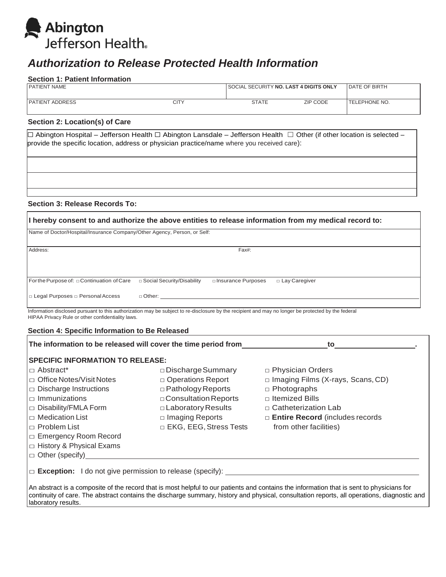

# *Authorization to Release Protected Health Information*

#### **Section 1: Patient Information**

| <b>PATIENT NAME</b>    |      | <b>SOCIAL SECURITY NO. LAST 4 DIGITS ONLY</b> |                 | <b>IDATE OF BIRTH</b> |
|------------------------|------|-----------------------------------------------|-----------------|-----------------------|
| <b>PATIENT ADDRESS</b> | CITY | <b>STATE</b>                                  | <b>ZIP CODE</b> | <b>ITELEPHONE NO.</b> |

## **Section 2: Location(s) of Care**

☐ Abington Hospital – Jefferson Health ☐ Abington Lansdale – Jefferson Health ☐ Other (if other location is selected – provide the specific location, address or physician practice/name where you received care):

**Section 3: Release Records To:**

| If hereby consent to and authorize the above entities to release information from my medical record to: |                              |                      |                 |  |  |  |
|---------------------------------------------------------------------------------------------------------|------------------------------|----------------------|-----------------|--|--|--|
| Name of Doctor/Hospital/Insurance Company/Other Agency, Person, or Self:                                |                              |                      |                 |  |  |  |
| Address:                                                                                                | Fax#:                        |                      |                 |  |  |  |
|                                                                                                         |                              |                      |                 |  |  |  |
| For the Purpose of: $\Box$ Continuation of Care                                                         | □ Social Security/Disability | □ Insurance Purposes | □ Lay Caregiver |  |  |  |
| $\Box$ Legal Purposes $\Box$ Personal Access                                                            | $\Box$ Other:                |                      |                 |  |  |  |

Information disclosed pursuant to this authorization may be subject to re-disclosure by the recipient and may no longer be protected by the federal HIPAA Privacy Rule or other confidentiality laws.

### **Section 4: Specific Information to Be Released**

| The information to be released will cover the time period from   | to                            |                                          |  |  |  |
|------------------------------------------------------------------|-------------------------------|------------------------------------------|--|--|--|
| <b>SPECIFIC INFORMATION TO RELEASE:</b>                          |                               |                                          |  |  |  |
| I <sub>□</sub> Abstract*                                         | $\square$ Discharge Summary   | □ Physician Orders                       |  |  |  |
| $\Box$ Office Notes/Visit Notes                                  | □ Operations Report           | $\Box$ Imaging Films (X-rays, Scans, CD) |  |  |  |
| $\Box$ Discharge Instructions                                    | $\Box$ Pathology Reports      | $\Box$ Photographs                       |  |  |  |
| $\Box$ Immunizations                                             | $\Box$ Consultation Reports   | $\Box$ Itemized Bills                    |  |  |  |
| $\Box$ Disability/FMLA Form                                      | $\Box$ Laboratory Results     | □ Catheterization Lab                    |  |  |  |
| $\mathsf{Im}\,\mathsf{Medication}\,\mathsf{List}\,$              | $\Box$ Imaging Reports        | $\Box$ Entire Record (includes records   |  |  |  |
| $\Box$ Problem List                                              | $\Box$ EKG, EEG, Stress Tests | from other facilities)                   |  |  |  |
| $\Box$ Emergency Room Record                                     |                               |                                          |  |  |  |
| $\Box$ History & Physical Exams                                  |                               |                                          |  |  |  |
| $\Box$ Other (specify)                                           |                               |                                          |  |  |  |
| $\Box$ Exception: I do not give permission to release (specify): |                               |                                          |  |  |  |

An abstract is a composite of the record that is most helpful to our patients and contains the information that is sent to physicians for continuity of care. The abstract contains the discharge summary, history and physical, consultation reports, all operations, diagnostic and laboratory results.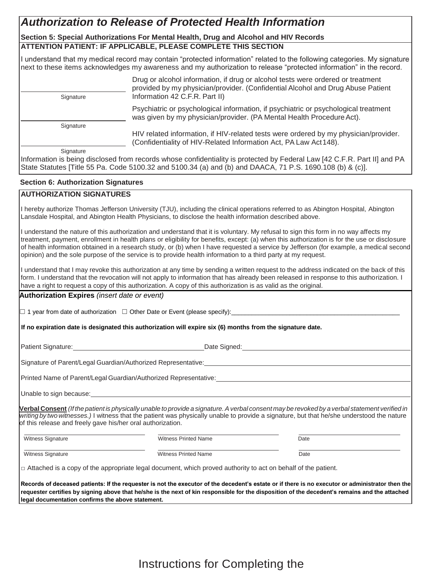# *Authorization to Release of Protected Health Information*

# **Section 5: Special Authorizations For Mental Health, Drug and Alcohol and HIV Records ATTENTION PATIENT: IF APPLICABLE, PLEASE COMPLETE THIS SECTION**

I understand that my medical record may contain "protected information" related to the following categories. My signature next to these items acknowledges my awareness and my authorization to release "protected information" in the record.

Drug or alcohol information, if drug or alcohol tests were ordered or treatment provided by my physician/provider. (Confidential Alcohol and Drug Abuse Patient Signature Information 42 C.F.R. Part II) Psychiatric or psychological information, if psychiatric or psychological treatment was given by my physician/provider. (PA Mental Health Procedure Act). **Signature** HIV related information, if HIV-related tests were ordered by my physician/provider.

(Confidentiality of HIV-Related Information Act, PA Law Act148).

**Signature** 

Information is being disclosed from records whose confidentiality is protected by Federal Law [42 C.F.R. Part II] and PA State Statutes [Title 55 Pa. Code 5100.32 and 5100.34 (a) and (b) and DAACA, 71 P.S. 1690.108 (b) & (c)].

# **Section 6: Authorization Signatures**

# **AUTHORIZATION SIGNATURES**

I hereby authorize Thomas Jefferson University (TJU), including the clinical operations referred to as Abington Hospital, Abington Lansdale Hospital, and Abington Health Physicians, to disclose the health information described above.

I understand the nature of this authorization and understand that it is voluntary. My refusal to sign this form in no way affects my treatment, payment, enrollment in health plans or eligibility for benefits, except: (a) when this authorization is for the use or disclosure of health information obtained in a research study, or (b) when I have requested a service by Jefferson (for example, a medical second opinion) and the sole purpose of the service is to provide health information to a third party at my request.

I understand that I may revoke this authorization at any time by sending a written request to the address indicated on the back of this form. I understand that the revocation will not apply to information that has already been released in response to this authorization. I have a right to request a copy of this authorization. A copy of this authorization is as valid as the original.

**Authorization Expires** *(insert date or event)*

 $\Box$  1 year from date of authorization  $\Box$  Other Date or Event (please specify):

**If no expiration date is designated this authorization will expire six (6) months from the signature date.**

Patient Signature: Date Signed: Date Signed:

Signature of Parent/Legal Guardian/Authorized Representative:

Printed Name of Parent/Legal Guardian/Authorized Representative:

Unable to sign because:

Verbal Consent (If the patient is physically unable to provide a signature. A verbal consent may be revoked by a verbal statement verified in *writing by two witnesses.)* I witness that the patient was physically unable to provide a signature, but that he/she understood the nature of this release and freely gave his/her oral authorization.

Witness Signature **Name Constructs** Witness Printed Name **Date** Date

Witness Signature **Name 2018** 2018 2019 Witness Printed Name **Date** Date

 $\Box$  Attached is a copy of the appropriate legal document, which proved authority to act on behalf of the patient.

**Records of deceased patients: If the requester is not the executor of the decedent's estate or if there is no executor or administrator then the requester certifies by signing above that he/she is the next of kin responsible for the disposition of the decedent's remains and the attached legal documentation confirms the above statement.**